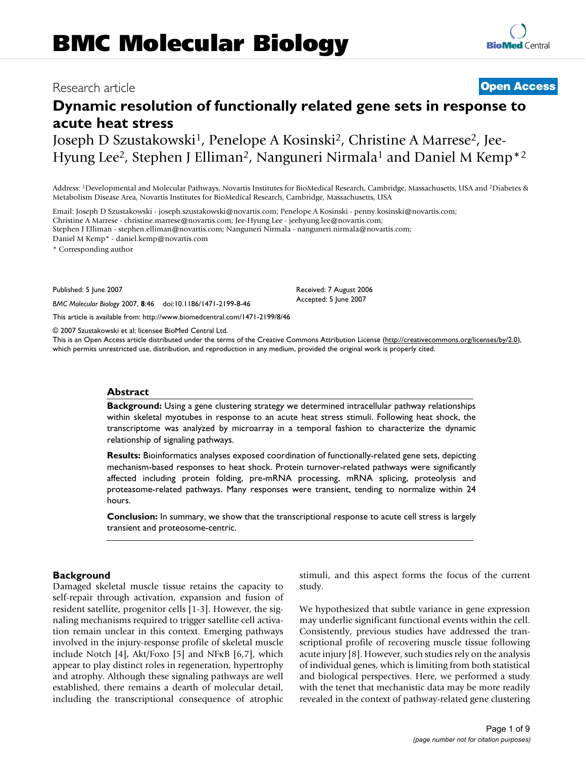# **Dynamic resolution of functionally related gene sets in response to acute heat stress**

Joseph D Szustakowski<sup>1</sup>, Penelope A Kosinski<sup>2</sup>, Christine A Marrese<sup>2</sup>, Jee-Hyung Lee<sup>2</sup>, Stephen J Elliman<sup>2</sup>, Nanguneri Nirmala<sup>1</sup> and Daniel M Kemp<sup>\*2</sup>

Address: 1Developmental and Molecular Pathways, Novartis Institutes for BioMedical Research, Cambridge, Massachusetts, USA and 2Diabetes & Metabolism Disease Area, Novartis Institutes for BioMedical Research, Cambridge, Massachusetts, USA

Email: Joseph D Szustakowski - joseph.szustakowski@novartis.com; Penelope A Kosinski - penny.kosinski@novartis.com; Christine A Marrese - christine.marrese@novartis.com; Jee-Hyung Lee - jeehyung.lee@novartis.com; Stephen J Elliman - stephen.elliman@novartis.com; Nanguneri Nirmala - nanguneri.nirmala@novartis.com; Daniel M Kemp\* - daniel.kemp@novartis.com

\* Corresponding author

Published: 5 June 2007

*BMC Molecular Biology* 2007, **8**:46 doi:10.1186/1471-2199-8-46

[This article is available from: http://www.biomedcentral.com/1471-2199/8/46](http://www.biomedcentral.com/1471-2199/8/46)

© 2007 Szustakowski et al; licensee BioMed Central Ltd.

This is an Open Access article distributed under the terms of the Creative Commons Attribution License [\(http://creativecommons.org/licenses/by/2.0\)](http://creativecommons.org/licenses/by/2.0), which permits unrestricted use, distribution, and reproduction in any medium, provided the original work is properly cited.

#### **Abstract**

**Background:** Using a gene clustering strategy we determined intracellular pathway relationships within skeletal myotubes in response to an acute heat stress stimuli. Following heat shock, the transcriptome was analyzed by microarray in a temporal fashion to characterize the dynamic relationship of signaling pathways.

**Results:** Bioinformatics analyses exposed coordination of functionally-related gene sets, depicting mechanism-based responses to heat shock. Protein turnover-related pathways were significantly affected including protein folding, pre-mRNA processing, mRNA splicing, proteolysis and proteasome-related pathways. Many responses were transient, tending to normalize within 24 hours.

**Conclusion:** In summary, we show that the transcriptional response to acute cell stress is largely transient and proteosome-centric.

#### **Background**

Damaged skeletal muscle tissue retains the capacity to self-repair through activation, expansion and fusion of resident satellite, progenitor cells [1-3]. However, the signaling mechanisms required to trigger satellite cell activation remain unclear in this context. Emerging pathways involved in the injury-response profile of skeletal muscle include Notch [4], Akt/Foxo [5] and NFκB [6,7], which appear to play distinct roles in regeneration, hypertrophy and atrophy. Although these signaling pathways are well established, there remains a dearth of molecular detail, including the transcriptional consequence of atrophic stimuli, and this aspect forms the focus of the current study.

We hypothesized that subtle variance in gene expression may underlie significant functional events within the cell. Consistently, previous studies have addressed the transcriptional profile of recovering muscle tissue following acute injury [8]. However, such studies rely on the analysis of individual genes, which is limiting from both statistical and biological perspectives. Here, we performed a study with the tenet that mechanistic data may be more readily revealed in the context of pathway-related gene clustering

## Research article **[Open Access](http://www.biomedcentral.com/info/about/charter/)**

Received: 7 August 2006 Accepted: 5 June 2007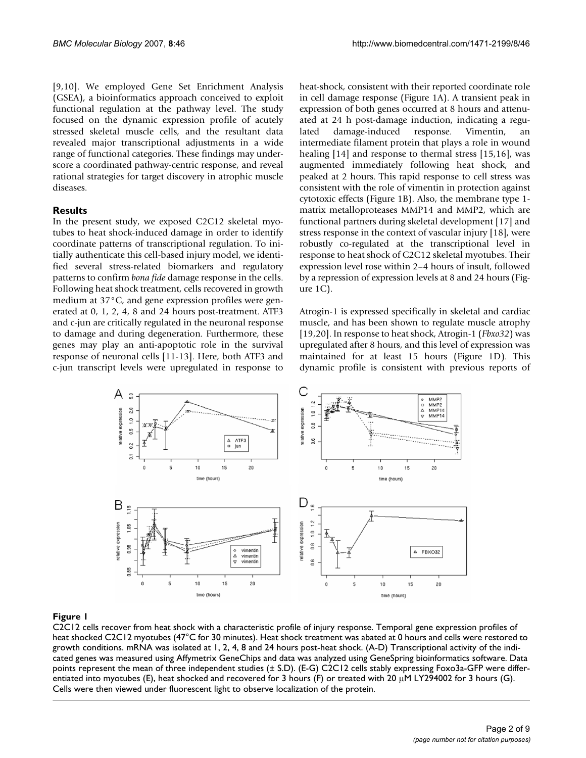[9,10]. We employed Gene Set Enrichment Analysis (GSEA), a bioinformatics approach conceived to exploit functional regulation at the pathway level. The study focused on the dynamic expression profile of acutely stressed skeletal muscle cells, and the resultant data revealed major transcriptional adjustments in a wide range of functional categories. These findings may underscore a coordinated pathway-centric response, and reveal rational strategies for target discovery in atrophic muscle diseases.

#### **Results**

In the present study, we exposed C2C12 skeletal myotubes to heat shock-induced damage in order to identify coordinate patterns of transcriptional regulation. To initially authenticate this cell-based injury model, we identified several stress-related biomarkers and regulatory patterns to confirm *bona fide* damage response in the cells. Following heat shock treatment, cells recovered in growth medium at 37°C, and gene expression profiles were generated at 0, 1, 2, 4, 8 and 24 hours post-treatment. ATF3 and c-jun are critically regulated in the neuronal response to damage and during degeneration. Furthermore, these genes may play an anti-apoptotic role in the survival response of neuronal cells [11-13]. Here, both ATF3 and c-jun transcript levels were upregulated in response to heat-shock, consistent with their reported coordinate role in cell damage response (Figure 1A). A transient peak in expression of both genes occurred at 8 hours and attenuated at 24 h post-damage induction, indicating a regulated damage-induced response. Vimentin, an intermediate filament protein that plays a role in wound healing [14] and response to thermal stress [15,16], was augmented immediately following heat shock, and peaked at 2 hours. This rapid response to cell stress was consistent with the role of vimentin in protection against cytotoxic effects (Figure 1B). Also, the membrane type 1 matrix metalloproteases MMP14 and MMP2, which are functional partners during skeletal development [17] and stress response in the context of vascular injury [18], were robustly co-regulated at the transcriptional level in response to heat shock of C2C12 skeletal myotubes. Their expression level rose within 2–4 hours of insult, followed by a repression of expression levels at 8 and 24 hours (Figure 1C).

Atrogin-1 is expressed specifically in skeletal and cardiac muscle, and has been shown to regulate muscle atrophy [19,20]. In response to heat shock, Atrogin-1 (*Fbxo32*) was upregulated after 8 hours, and this level of expression was maintained for at least 15 hours (Figure 1D). This dynamic profile is consistent with previous reports of



### C2C12 cells recover from heat shock with a **Figure 1** characteristic profile of injury response

C2C12 cells recover from heat shock with a characteristic profile of injury response. Temporal gene expression profiles of heat shocked C2C12 myotubes (47°C for 30 minutes). Heat shock treatment was abated at 0 hours and cells were restored to growth conditions. mRNA was isolated at 1, 2, 4, 8 and 24 hours post-heat shock. (A-D) Transcriptional activity of the indicated genes was measured using Affymetrix GeneChips and data was analyzed using GeneSpring bioinformatics software. Data points represent the mean of three independent studies (± S.D). (E-G) C2C12 cells stably expressing Foxo3a-GFP were differentiated into myotubes (E), heat shocked and recovered for 3 hours (F) or treated with 20  $\mu$ M LY294002 for 3 hours (G). Cells were then viewed under fluorescent light to observe localization of the protein.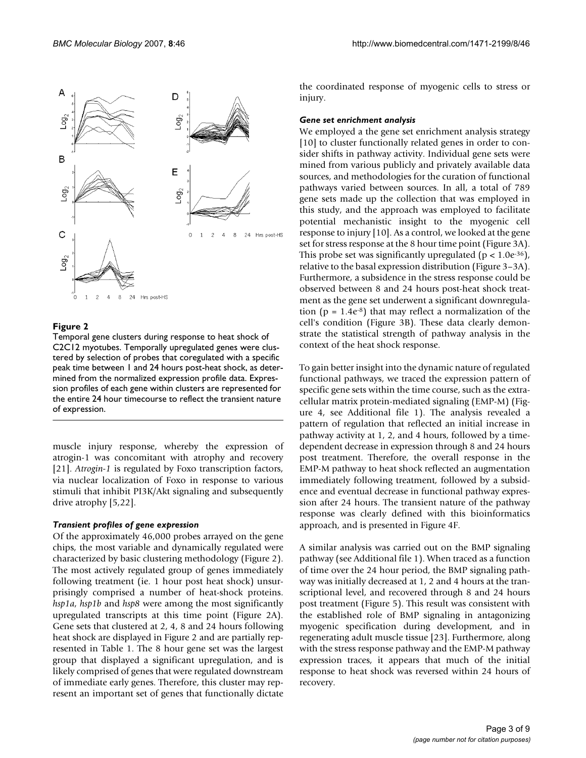

Temporal gene clusters during response to heat shock of C2C12 myotubes. Temporally upregulated genes were clustered by selection of probes that coregulated with a specific peak time between 1 and 24 hours post-heat shock, as determined from the normalized expression profile data. Expression profiles of each gene within clusters are represented for the entire 24 hour timecourse to reflect the transient nature of expression.

muscle injury response, whereby the expression of atrogin-1 was concomitant with atrophy and recovery [21]. *Atrogin-1* is regulated by Foxo transcription factors, via nuclear localization of Foxo in response to various stimuli that inhibit PI3K/Akt signaling and subsequently drive atrophy [5,22].

#### *Transient profiles of gene expression*

Of the approximately 46,000 probes arrayed on the gene chips, the most variable and dynamically regulated were characterized by basic clustering methodology (Figure 2). The most actively regulated group of genes immediately following treatment (ie. 1 hour post heat shock) unsurprisingly comprised a number of heat-shock proteins. *hsp1a*, *hsp1b* and *hsp8* were among the most significantly upregulated transcripts at this time point (Figure 2A). Gene sets that clustered at 2, 4, 8 and 24 hours following heat shock are displayed in Figure 2 and are partially represented in Table 1. The 8 hour gene set was the largest group that displayed a significant upregulation, and is likely comprised of genes that were regulated downstream of immediate early genes. Therefore, this cluster may represent an important set of genes that functionally dictate the coordinated response of myogenic cells to stress or injury.

#### *Gene set enrichment analysis*

We employed a the gene set enrichment analysis strategy [10] to cluster functionally related genes in order to consider shifts in pathway activity. Individual gene sets were mined from various publicly and privately available data sources, and methodologies for the curation of functional pathways varied between sources. In all, a total of 789 gene sets made up the collection that was employed in this study, and the approach was employed to facilitate potential mechanistic insight to the myogenic cell response to injury [10]. As a control, we looked at the gene set for stress response at the 8 hour time point (Figure 3A). This probe set was significantly upregulated ( $p < 1.0e^{-36}$ ), relative to the basal expression distribution (Figure 3–3A). Furthermore, a subsidence in the stress response could be observed between 8 and 24 hours post-heat shock treatment as the gene set underwent a significant downregulation ( $p = 1.4e^{-8}$ ) that may reflect a normalization of the cell's condition (Figure 3B). These data clearly demonstrate the statistical strength of pathway analysis in the context of the heat shock response.

To gain better insight into the dynamic nature of regulated functional pathways, we traced the expression pattern of specific gene sets within the time course, such as the extracellular matrix protein-mediated signaling (EMP-M) (Figure 4, see Additional file 1). The analysis revealed a pattern of regulation that reflected an initial increase in pathway activity at 1, 2, and 4 hours, followed by a timedependent decrease in expression through 8 and 24 hours post treatment. Therefore, the overall response in the EMP-M pathway to heat shock reflected an augmentation immediately following treatment, followed by a subsidence and eventual decrease in functional pathway expression after 24 hours. The transient nature of the pathway response was clearly defined with this bioinformatics approach, and is presented in Figure 4F.

A similar analysis was carried out on the BMP signaling pathway (see Additional file 1). When traced as a function of time over the 24 hour period, the BMP signaling pathway was initially decreased at 1, 2 and 4 hours at the transcriptional level, and recovered through 8 and 24 hours post treatment (Figure 5). This result was consistent with the established role of BMP signaling in antagonizing myogenic specification during development, and in regenerating adult muscle tissue [23]. Furthermore, along with the stress response pathway and the EMP-M pathway expression traces, it appears that much of the initial response to heat shock was reversed within 24 hours of recovery.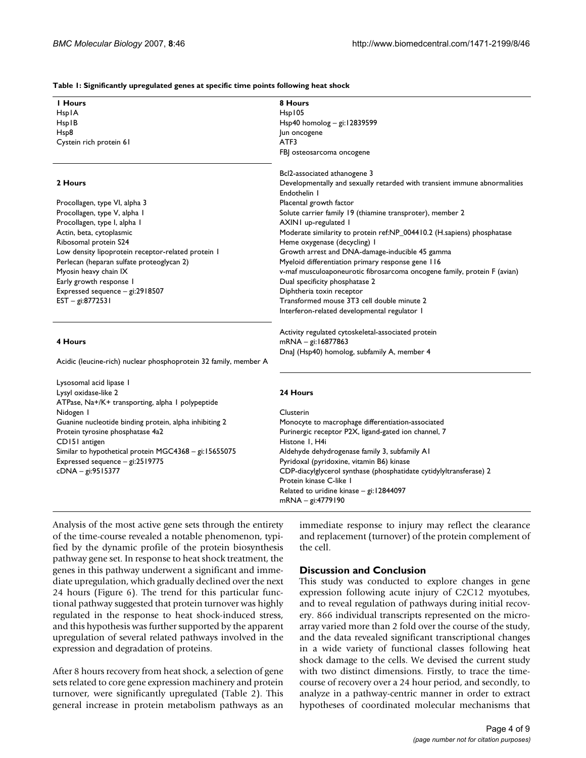#### **Table 1: Significantly upregulated genes at specific time points following heat shock**

| I Hours                                                          | 8 Hours                                                                   |  |  |
|------------------------------------------------------------------|---------------------------------------------------------------------------|--|--|
| HsplA                                                            | Hsp105                                                                    |  |  |
| HspIB                                                            | Hsp40 homolog $-$ gi: 12839599                                            |  |  |
| Hsp8                                                             | Jun oncogene                                                              |  |  |
| Cystein rich protein 61                                          | ATF3                                                                      |  |  |
|                                                                  | FBJ osteosarcoma oncogene                                                 |  |  |
|                                                                  |                                                                           |  |  |
|                                                                  | Bcl2-associated athanogene 3                                              |  |  |
| 2 Hours                                                          | Developmentally and sexually retarded with transient immune abnormalities |  |  |
|                                                                  | Endothelin I                                                              |  |  |
| Procollagen, type VI, alpha 3                                    | Placental growth factor                                                   |  |  |
| Procollagen, type V, alpha I                                     | Solute carrier family 19 (thiamine transproter), member 2                 |  |  |
| Procollagen, type I, alpha I                                     | AXINI up-regulated I                                                      |  |  |
| Actin, beta, cytoplasmic                                         | Moderate similarity to protein ref:NP_004410.2 (H.sapiens) phosphatase    |  |  |
| Ribosomal protein S24                                            | Heme oxygenase (decycling) I                                              |  |  |
| Low density lipoprotein receptor-related protein I               | Growth arrest and DNA-damage-inducible 45 gamma                           |  |  |
| Perlecan (heparan sulfate proteoglycan 2)                        | Myeloid differentiation primary response gene 116                         |  |  |
| Myosin heavy chain IX                                            | v-maf musculoaponeurotic fibrosarcoma oncogene family, protein F (avian)  |  |  |
| Early growth response I                                          | Dual specificity phosphatase 2                                            |  |  |
| Expressed sequence - gi:2918507                                  | Diphtheria toxin receptor                                                 |  |  |
| EST - gi:8772531                                                 | Transformed mouse 3T3 cell double minute 2                                |  |  |
|                                                                  | Interferon-related developmental regulator I                              |  |  |
|                                                                  |                                                                           |  |  |
|                                                                  | Activity regulated cytoskeletal-associated protein                        |  |  |
| 4 Hours                                                          | mRNA - gi:16877863                                                        |  |  |
|                                                                  | DnaJ (Hsp40) homolog, subfamily A, member 4                               |  |  |
| Acidic (leucine-rich) nuclear phosphoprotein 32 family, member A |                                                                           |  |  |
|                                                                  |                                                                           |  |  |
| Lysosomal acid lipase I                                          |                                                                           |  |  |
| Lysyl oxidase-like 2                                             | 24 Hours                                                                  |  |  |
| ATPase, Na+/K+ transporting, alpha I polypeptide                 |                                                                           |  |  |
| Nidogen I                                                        | Clusterin                                                                 |  |  |
| Guanine nucleotide binding protein, alpha inhibiting 2           | Monocyte to macrophage differentiation-associated                         |  |  |
| Protein tyrosine phosphatase 4a2                                 | Purinergic receptor P2X, ligand-gated ion channel, 7                      |  |  |
| CD151 antigen                                                    | Histone I, H4i                                                            |  |  |
| Similar to hypothetical protein MGC4368 - gi:15655075            | Aldehyde dehydrogenase family 3, subfamily A1                             |  |  |
| Expressed sequence - gi:2519775                                  | Pyridoxal (pyridoxine, vitamin B6) kinase                                 |  |  |
| cDNA - gi:9515377                                                | CDP-diacylglycerol synthase (phosphatidate cytidylyltransferase) 2        |  |  |
|                                                                  | Protein kinase C-like I                                                   |  |  |
|                                                                  | Related to uridine kinase - gi: 12844097                                  |  |  |
|                                                                  | mRNA - gi:4779190                                                         |  |  |
|                                                                  |                                                                           |  |  |

Analysis of the most active gene sets through the entirety of the time-course revealed a notable phenomenon, typified by the dynamic profile of the protein biosynthesis pathway gene set. In response to heat shock treatment, the genes in this pathway underwent a significant and immediate upregulation, which gradually declined over the next 24 hours (Figure 6). The trend for this particular functional pathway suggested that protein turnover was highly regulated in the response to heat shock-induced stress, and this hypothesis was further supported by the apparent upregulation of several related pathways involved in the expression and degradation of proteins.

After 8 hours recovery from heat shock, a selection of gene sets related to core gene expression machinery and protein turnover, were significantly upregulated (Table 2). This general increase in protein metabolism pathways as an

immediate response to injury may reflect the clearance and replacement (turnover) of the protein complement of the cell.

### **Discussion and Conclusion**

This study was conducted to explore changes in gene expression following acute injury of C2C12 myotubes, and to reveal regulation of pathways during initial recovery. 866 individual transcripts represented on the microarray varied more than 2 fold over the course of the study, and the data revealed significant transcriptional changes in a wide variety of functional classes following heat shock damage to the cells. We devised the current study with two distinct dimensions. Firstly, to trace the timecourse of recovery over a 24 hour period, and secondly, to analyze in a pathway-centric manner in order to extract hypotheses of coordinated molecular mechanisms that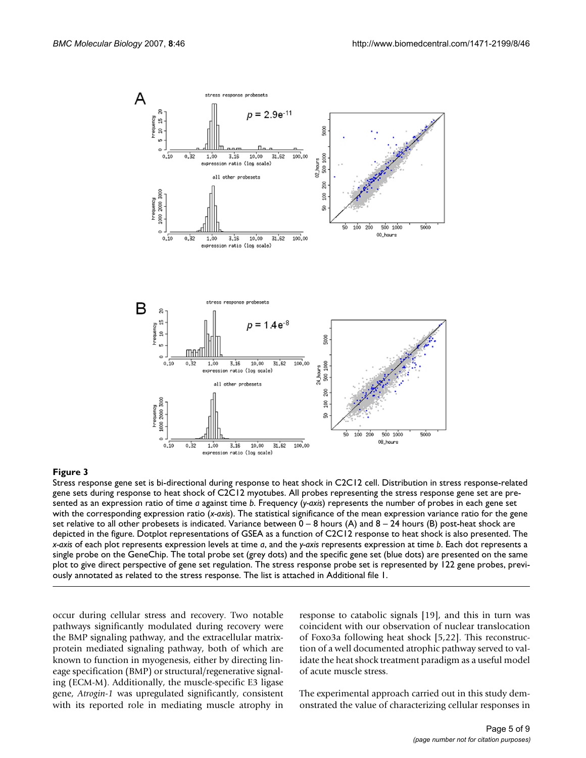

Stress response gene set is bi-directional during response to heat shock in C2C12 cell. Distribution in stress response-related gene sets during response to heat shock of C2C12 myotubes. All probes representing the stress response gene set are presented as an expression ratio of time *a* against time *b*. Frequency (*y-axis*) represents the number of probes in each gene set with the corresponding expression ratio (*x-axis*). The statistical significance of the mean expression variance ratio for the gene set relative to all other probesets is indicated. Variance between  $0 - 8$  hours (A) and  $8 - 24$  hours (B) post-heat shock are depicted in the figure. Dotplot representations of GSEA as a function of C2C12 response to heat shock is also presented. The *x-axis* of each plot represents expression levels at time *a*, and the *y-axis* represents expression at time *b*. Each dot represents a single probe on the GeneChip. The total probe set (grey dots) and the specific gene set (blue dots) are presented on the same plot to give direct perspective of gene set regulation. The stress response probe set is represented by 122 gene probes, previously annotated as related to the stress response. The list is attached in Additional file 1.

occur during cellular stress and recovery. Two notable pathways significantly modulated during recovery were the BMP signaling pathway, and the extracellular matrixprotein mediated signaling pathway, both of which are known to function in myogenesis, either by directing lineage specification (BMP) or structural/regenerative signaling (ECM-M). Additionally, the muscle-specific E3 ligase gene, *Atrogin-1* was upregulated significantly, consistent with its reported role in mediating muscle atrophy in response to catabolic signals [19], and this in turn was coincident with our observation of nuclear translocation of Foxo3a following heat shock [5,22]. This reconstruction of a well documented atrophic pathway served to validate the heat shock treatment paradigm as a useful model of acute muscle stress.

The experimental approach carried out in this study demonstrated the value of characterizing cellular responses in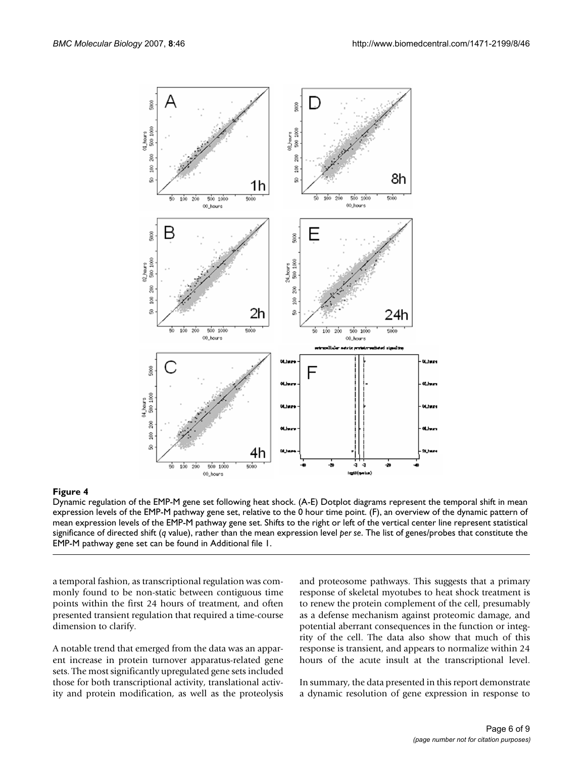

Dynamic regulation of the EMP-M gene set following heat shock. (A-E) Dotplot diagrams represent the temporal shift in mean expression levels of the EMP-M pathway gene set, relative to the 0 hour time point. (F), an overview of the dynamic pattern of mean expression levels of the EMP-M pathway gene set. Shifts to the right or left of the vertical center line represent statistical significance of directed shift (*q* value), rather than the mean expression level *per se*. The list of genes/probes that constitute the EMP-M pathway gene set can be found in Additional file 1.

a temporal fashion, as transcriptional regulation was commonly found to be non-static between contiguous time points within the first 24 hours of treatment, and often presented transient regulation that required a time-course dimension to clarify.

A notable trend that emerged from the data was an apparent increase in protein turnover apparatus-related gene sets. The most significantly upregulated gene sets included those for both transcriptional activity, translational activity and protein modification, as well as the proteolysis and proteosome pathways. This suggests that a primary response of skeletal myotubes to heat shock treatment is to renew the protein complement of the cell, presumably as a defense mechanism against proteomic damage, and potential aberrant consequences in the function or integrity of the cell. The data also show that much of this response is transient, and appears to normalize within 24 hours of the acute insult at the transcriptional level.

In summary, the data presented in this report demonstrate a dynamic resolution of gene expression in response to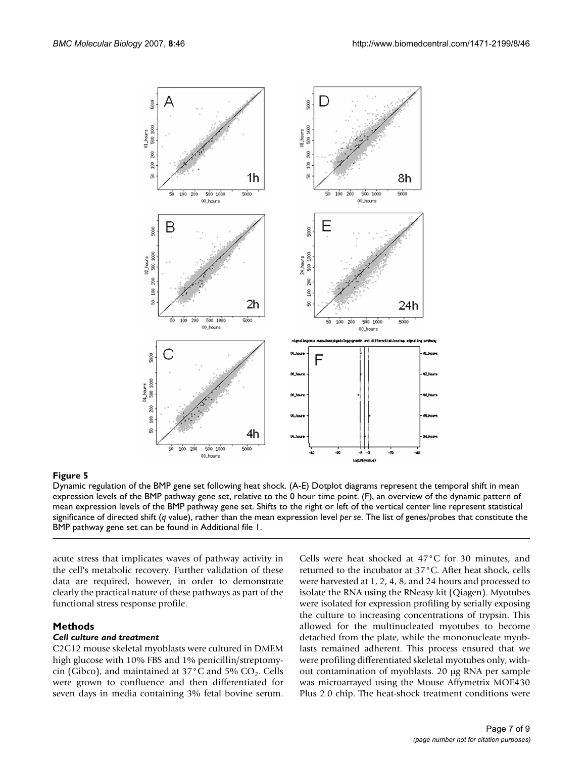

Dynamic regulation of the BMP gene set following heat shock. (A-E) Dotplot diagrams represent the temporal shift in mean expression levels of the BMP pathway gene set, relative to the 0 hour time point. (F), an overview of the dynamic pattern of mean expression levels of the BMP pathway gene set. Shifts to the right or left of the vertical center line represent statistical significance of directed shift (*q* value), rather than the mean expression level *per se*. The list of genes/probes that constitute the BMP pathway gene set can be found in Additional file 1.

acute stress that implicates waves of pathway activity in the cell's metabolic recovery. Further validation of these data are required, however, in order to demonstrate clearly the practical nature of these pathways as part of the functional stress response profile.

#### **Methods**

#### *Cell culture and treatment*

C2C12 mouse skeletal myoblasts were cultured in DMEM high glucose with 10% FBS and 1% penicillin/streptomycin (Gibco), and maintained at  $37^{\circ}$ C and  $5\%$  CO<sub>2</sub>. Cells were grown to confluence and then differentiated for seven days in media containing 3% fetal bovine serum.

Cells were heat shocked at 47°C for 30 minutes, and returned to the incubator at 37°C. After heat shock, cells were harvested at 1, 2, 4, 8, and 24 hours and processed to isolate the RNA using the RNeasy kit (Qiagen). Myotubes were isolated for expression profiling by serially exposing the culture to increasing concentrations of trypsin. This allowed for the multinucleated myotubes to become detached from the plate, while the mononucleate myoblasts remained adherent. This process ensured that we were profiling differentiated skeletal myotubes only, without contamination of myoblasts. 20 μg RNA per sample was microarrayed using the Mouse Affymetrix MOE430 Plus 2.0 chip. The heat-shock treatment conditions were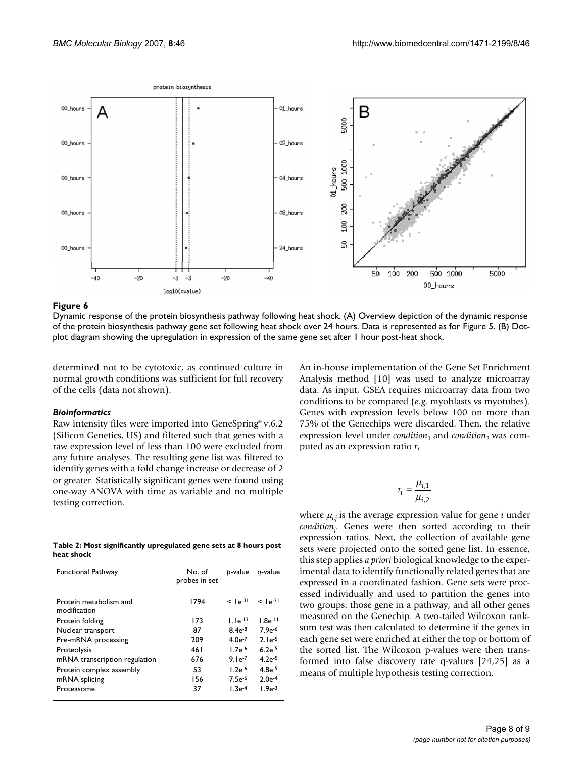

Dynamic response of the protein biosynthesis pathway following heat shock. (A) Overview depiction of the dynamic response of the protein biosynthesis pathway gene set following heat shock over 24 hours. Data is represented as for Figure 5. (B) Dotplot diagram showing the upregulation in expression of the same gene set after 1 hour post-heat shock.

determined not to be cytotoxic, as continued culture in normal growth conditions was sufficient for full recovery of the cells (data not shown).

#### *Bioinformatics*

Raw intensity files were imported into GeneSpring® v.6.2 (Silicon Genetics, US) and filtered such that genes with a raw expression level of less than 100 were excluded from any future analyses. The resulting gene list was filtered to identify genes with a fold change increase or decrease of 2 or greater. Statistically significant genes were found using one-way ANOVA with time as variable and no multiple testing correction.

**Table 2: Most significantly upregulated gene sets at 8 hours post heat shock**

| <b>Functional Pathway</b>              | No. of<br>probes in set | b-value      | q-value        |
|----------------------------------------|-------------------------|--------------|----------------|
| Protein metabolism and<br>modification | 1794                    | $<$ $1e-31$  | $<$ 1-4 $-$ 31 |
| Protein folding                        | 173                     | $1.1e^{-13}$ | $1.8e^{-11}$   |
| Nuclear transport                      | 87                      | $8.4e^{-8}$  | $7.9e^{-6}$    |
| Pre-mRNA processing                    | 209                     | $4.0e^{-7}$  | $2.1e^{-5}$    |
| Proteolysis                            | 461                     | $1.7e^{-6}$  | $6.2e^{-5}$    |
| mRNA transcription regulation          | 676                     | $9.1e^{-7}$  | $4.2e^{-5}$    |
| Protein complex assembly               | 53                      | $1.2e^{-6}$  | $4.8e^{-5}$    |
| mRNA splicing                          | 156                     | $7.5e^{-6}$  | $2.0e^{-4}$    |
| Proteasome                             | 37                      | $1.3e^{-4}$  | $1.9e^{-3}$    |

An in-house implementation of the Gene Set Enrichment Analysis method [10] was used to analyze microarray data. As input, GSEA requires microarray data from two conditions to be compared (*e.g*. myoblasts vs myotubes). Genes with expression levels below 100 on more than 75% of the Genechips were discarded. Then, the relative expression level under *condition*<sub>1</sub> and *condition*<sub>2</sub> was computed as an expression ratio *ri*

$$
r_i = \frac{\mu_{i,1}}{\mu_{i,2}}
$$

where  $\mu_{i,j}$  is the average expression value for gene *i* under *conditionj* . Genes were then sorted according to their expression ratios. Next, the collection of available gene sets were projected onto the sorted gene list. In essence, this step applies *a priori* biological knowledge to the experimental data to identify functionally related genes that are expressed in a coordinated fashion. Gene sets were processed individually and used to partition the genes into two groups: those gene in a pathway, and all other genes measured on the Genechip. A two-tailed Wilcoxon ranksum test was then calculated to determine if the genes in each gene set were enriched at either the top or bottom of the sorted list. The Wilcoxon p-values were then transformed into false discovery rate q-values [24,25] as a means of multiple hypothesis testing correction.